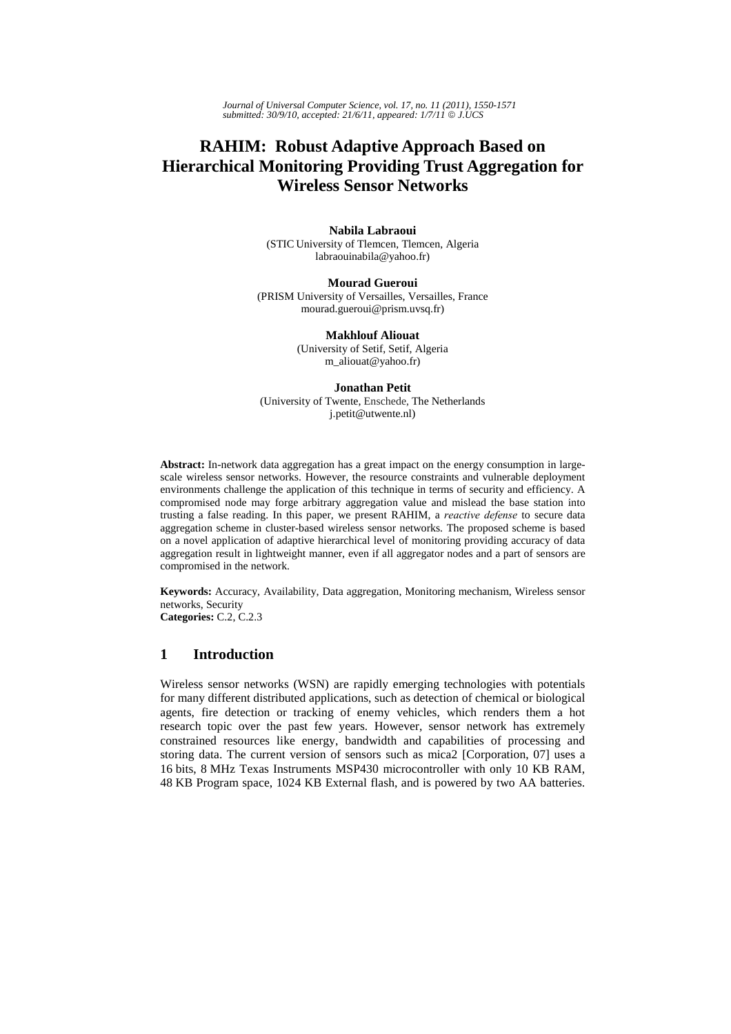*Journal of Universal Computer Science, vol. 17, no. 11 (2011), 1550-1571 submitted: 30/9/10, accepted: 21/6/11, appeared: 1/7/11* © *J.UCS*

# **RAHIM: Robust Adaptive Approach Based on Hierarchical Monitoring Providing Trust Aggregation for Wireless Sensor Networks**

**Nabila Labraoui**  (STIC University of Tlemcen, Tlemcen, Algeria labraouinabila@yahoo.fr)

**Mourad Gueroui** (PRISM University of Versailles, Versailles, France mourad.gueroui@prism.uvsq.fr)

> **Makhlouf Aliouat** (University of Setif, Setif, Algeria m\_aliouat@yahoo.fr)

**Jonathan Petit** (University of Twente, Enschede, The Netherlands j.petit@utwente.nl)

**Abstract:** In-network data aggregation has a great impact on the energy consumption in largescale wireless sensor networks. However, the resource constraints and vulnerable deployment environments challenge the application of this technique in terms of security and efficiency. A compromised node may forge arbitrary aggregation value and mislead the base station into trusting a false reading. In this paper, we present RAHIM, a *reactive defense* to secure data aggregation scheme in cluster-based wireless sensor networks. The proposed scheme is based on a novel application of adaptive hierarchical level of monitoring providing accuracy of data aggregation result in lightweight manner, even if all aggregator nodes and a part of sensors are compromised in the network.

**Keywords:** Accuracy, Availability, Data aggregation, Monitoring mechanism, Wireless sensor networks, Security **Categories:** C.2, C.2.3

# **1 Introduction**

Wireless sensor networks (WSN) are rapidly emerging technologies with potentials for many different distributed applications, such as detection of chemical or biological agents, fire detection or tracking of enemy vehicles, which renders them a hot research topic over the past few years. However, sensor network has extremely constrained resources like energy, bandwidth and capabilities of processing and storing data. The current version of sensors such as mica2 [Corporation, 07] uses a 16 bits, 8 MHz Texas Instruments MSP430 microcontroller with only 10 KB RAM, 48 KB Program space, 1024 KB External flash, and is powered by two AA batteries.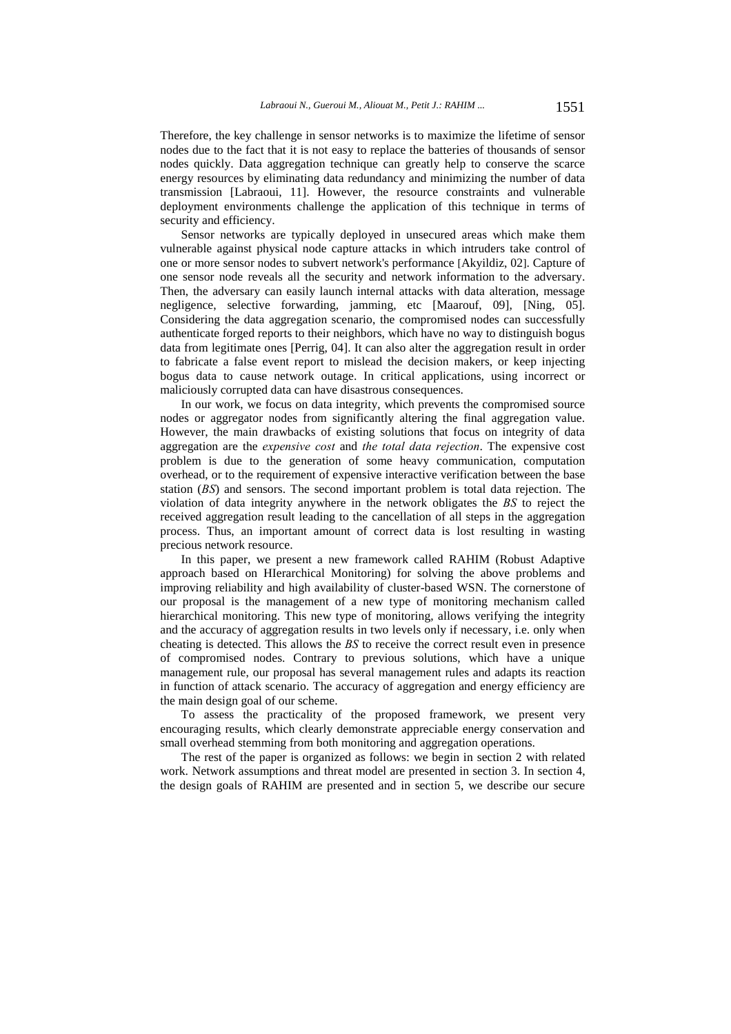Therefore, the key challenge in sensor networks is to maximize the lifetime of sensor nodes due to the fact that it is not easy to replace the batteries of thousands of sensor nodes quickly. Data aggregation technique can greatly help to conserve the scarce energy resources by eliminating data redundancy and minimizing the number of data transmission [Labraoui, 11]. However, the resource constraints and vulnerable deployment environments challenge the application of this technique in terms of security and efficiency.

Sensor networks are typically deployed in unsecured areas which make them vulnerable against physical node capture attacks in which intruders take control of one or more sensor nodes to subvert network's performance [Akyildiz, 02]. Capture of one sensor node reveals all the security and network information to the adversary. Then, the adversary can easily launch internal attacks with data alteration, message negligence, selective forwarding, jamming, etc [Maarouf, 09], [Ning, 05]. Considering the data aggregation scenario, the compromised nodes can successfully authenticate forged reports to their neighbors, which have no way to distinguish bogus data from legitimate ones [Perrig, 04]. It can also alter the aggregation result in order to fabricate a false event report to mislead the decision makers, or keep injecting bogus data to cause network outage. In critical applications, using incorrect or maliciously corrupted data can have disastrous consequences.

In our work, we focus on data integrity, which prevents the compromised source nodes or aggregator nodes from significantly altering the final aggregation value. However, the main drawbacks of existing solutions that focus on integrity of data aggregation are the *expensive cost* and *the total data rejection*. The expensive cost problem is due to the generation of some heavy communication, computation overhead, or to the requirement of expensive interactive verification between the base station (*BS*) and sensors. The second important problem is total data rejection. The violation of data integrity anywhere in the network obligates the *BS* to reject the received aggregation result leading to the cancellation of all steps in the aggregation process. Thus, an important amount of correct data is lost resulting in wasting precious network resource.

In this paper, we present a new framework called RAHIM (Robust Adaptive approach based on HIerarchical Monitoring) for solving the above problems and improving reliability and high availability of cluster-based WSN. The cornerstone of our proposal is the management of a new type of monitoring mechanism called hierarchical monitoring. This new type of monitoring, allows verifying the integrity and the accuracy of aggregation results in two levels only if necessary, i.e. only when cheating is detected. This allows the *BS* to receive the correct result even in presence of compromised nodes. Contrary to previous solutions, which have a unique management rule, our proposal has several management rules and adapts its reaction in function of attack scenario. The accuracy of aggregation and energy efficiency are the main design goal of our scheme.

To assess the practicality of the proposed framework, we present very encouraging results, which clearly demonstrate appreciable energy conservation and small overhead stemming from both monitoring and aggregation operations.

The rest of the paper is organized as follows: we begin in section 2 with related work. Network assumptions and threat model are presented in section 3. In section 4, the design goals of RAHIM are presented and in section 5, we describe our secure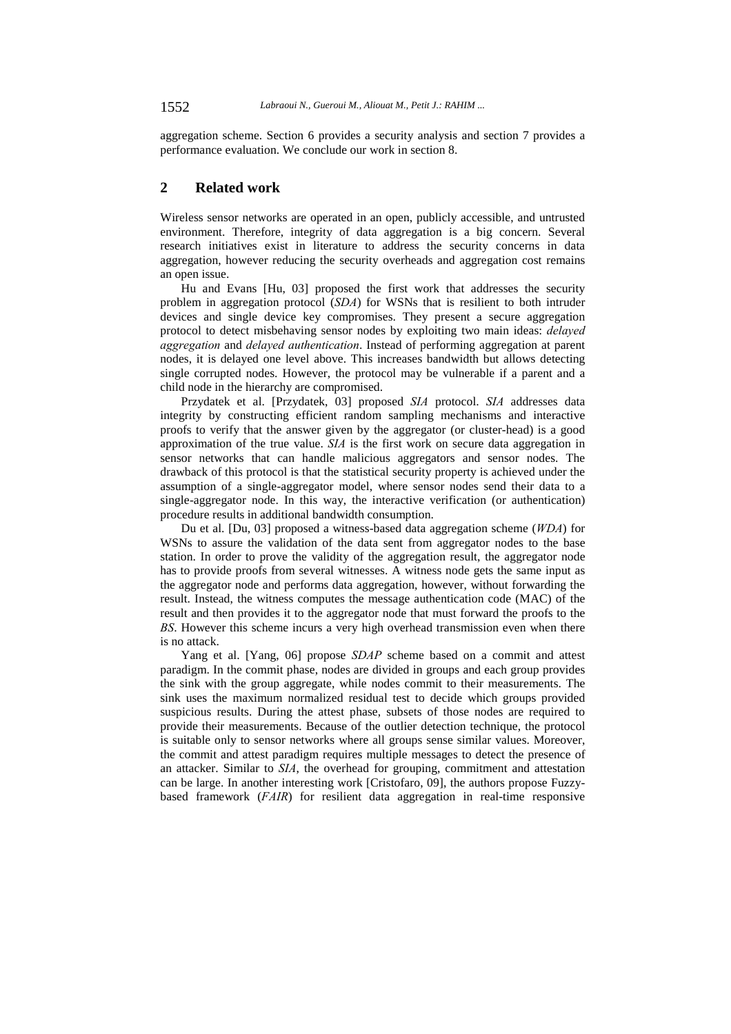aggregation scheme. Section 6 provides a security analysis and section 7 provides a performance evaluation. We conclude our work in section 8.

# **2 Related work**

Wireless sensor networks are operated in an open, publicly accessible, and untrusted environment. Therefore, integrity of data aggregation is a big concern. Several research initiatives exist in literature to address the security concerns in data aggregation, however reducing the security overheads and aggregation cost remains an open issue.

Hu and Evans [Hu, 03] proposed the first work that addresses the security problem in aggregation protocol (*SDA*) for WSNs that is resilient to both intruder devices and single device key compromises. They present a secure aggregation protocol to detect misbehaving sensor nodes by exploiting two main ideas: *delayed aggregation* and *delayed authentication*. Instead of performing aggregation at parent nodes, it is delayed one level above. This increases bandwidth but allows detecting single corrupted nodes. However, the protocol may be vulnerable if a parent and a child node in the hierarchy are compromised.

Przydatek et al. [Przydatek, 03] proposed *SIA* protocol. *SIA* addresses data integrity by constructing efficient random sampling mechanisms and interactive proofs to verify that the answer given by the aggregator (or cluster-head) is a good approximation of the true value. *SIA* is the first work on secure data aggregation in sensor networks that can handle malicious aggregators and sensor nodes. The drawback of this protocol is that the statistical security property is achieved under the assumption of a single-aggregator model, where sensor nodes send their data to a single-aggregator node. In this way, the interactive verification (or authentication) procedure results in additional bandwidth consumption.

Du et al. [Du, 03] proposed a witness-based data aggregation scheme (*WDA*) for WSNs to assure the validation of the data sent from aggregator nodes to the base station. In order to prove the validity of the aggregation result, the aggregator node has to provide proofs from several witnesses. A witness node gets the same input as the aggregator node and performs data aggregation, however, without forwarding the result. Instead, the witness computes the message authentication code (MAC) of the result and then provides it to the aggregator node that must forward the proofs to the *BS*. However this scheme incurs a very high overhead transmission even when there is no attack.

Yang et al. [Yang, 06] propose *SDAP* scheme based on a commit and attest paradigm. In the commit phase, nodes are divided in groups and each group provides the sink with the group aggregate, while nodes commit to their measurements. The sink uses the maximum normalized residual test to decide which groups provided suspicious results. During the attest phase, subsets of those nodes are required to provide their measurements. Because of the outlier detection technique, the protocol is suitable only to sensor networks where all groups sense similar values. Moreover, the commit and attest paradigm requires multiple messages to detect the presence of an attacker. Similar to *SIA*, the overhead for grouping, commitment and attestation can be large. In another interesting work [Cristofaro, 09], the authors propose Fuzzybased framework (*FAIR*) for resilient data aggregation in real-time responsive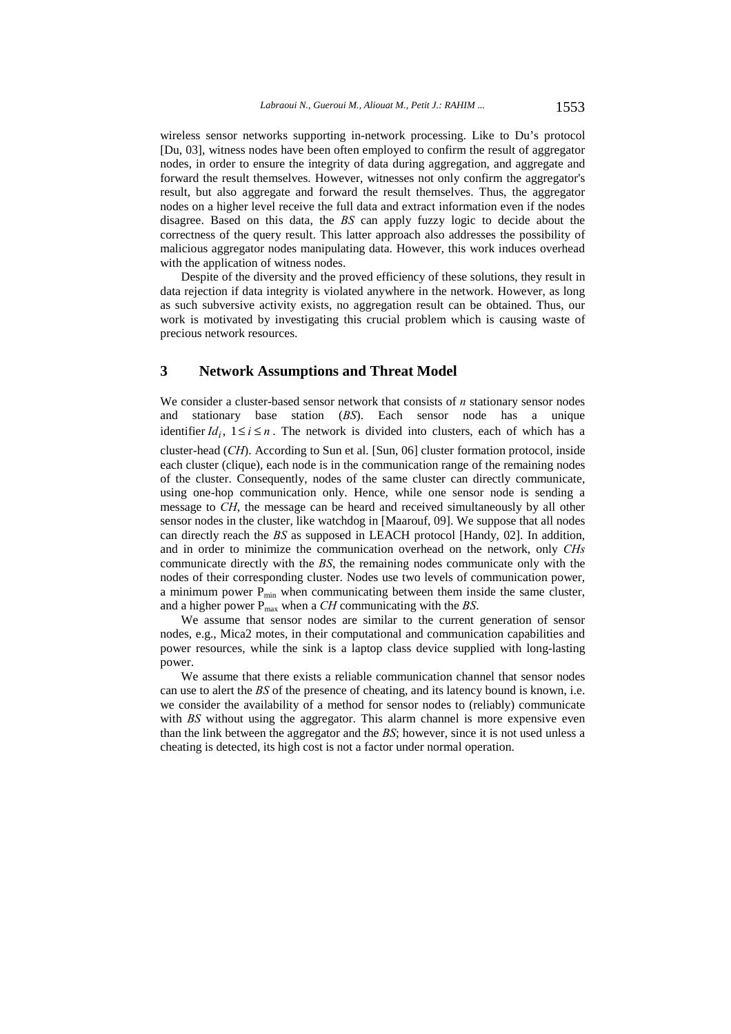wireless sensor networks supporting in-network processing. Like to Du's protocol [Du, 03], witness nodes have been often employed to confirm the result of aggregator nodes, in order to ensure the integrity of data during aggregation, and aggregate and forward the result themselves. However, witnesses not only confirm the aggregator's result, but also aggregate and forward the result themselves. Thus, the aggregator nodes on a higher level receive the full data and extract information even if the nodes disagree. Based on this data, the *BS* can apply fuzzy logic to decide about the correctness of the query result. This latter approach also addresses the possibility of malicious aggregator nodes manipulating data. However, this work induces overhead with the application of witness nodes.

Despite of the diversity and the proved efficiency of these solutions, they result in data rejection if data integrity is violated anywhere in the network. However, as long as such subversive activity exists, no aggregation result can be obtained. Thus, our work is motivated by investigating this crucial problem which is causing waste of precious network resources.

# **3 Network Assumptions and Threat Model**

We consider a cluster-based sensor network that consists of *n* stationary sensor nodes and stationary base station (*BS*). Each sensor node has a unique identifier  $Id_i$ ,  $1 \le i \le n$ . The network is divided into clusters, each of which has a

cluster-head (*CH*). According to Sun et al. [Sun, 06] cluster formation protocol, inside each cluster (clique), each node is in the communication range of the remaining nodes of the cluster. Consequently, nodes of the same cluster can directly communicate, using one-hop communication only. Hence, while one sensor node is sending a message to *CH*, the message can be heard and received simultaneously by all other sensor nodes in the cluster, like watchdog in [Maarouf, 09]. We suppose that all nodes can directly reach the *BS* as supposed in LEACH protocol [Handy, 02]. In addition, and in order to minimize the communication overhead on the network, only *CHs* communicate directly with the *BS*, the remaining nodes communicate only with the nodes of their corresponding cluster. Nodes use two levels of communication power, a minimum power  $P_{\text{min}}$  when communicating between them inside the same cluster, and a higher power P<sub>max</sub> when a *CH* communicating with the *BS*.

We assume that sensor nodes are similar to the current generation of sensor nodes, e.g., Mica2 motes, in their computational and communication capabilities and power resources, while the sink is a laptop class device supplied with long-lasting power.

We assume that there exists a reliable communication channel that sensor nodes can use to alert the *BS* of the presence of cheating, and its latency bound is known, i.e. we consider the availability of a method for sensor nodes to (reliably) communicate with *BS* without using the aggregator. This alarm channel is more expensive even than the link between the aggregator and the *BS*; however, since it is not used unless a cheating is detected, its high cost is not a factor under normal operation.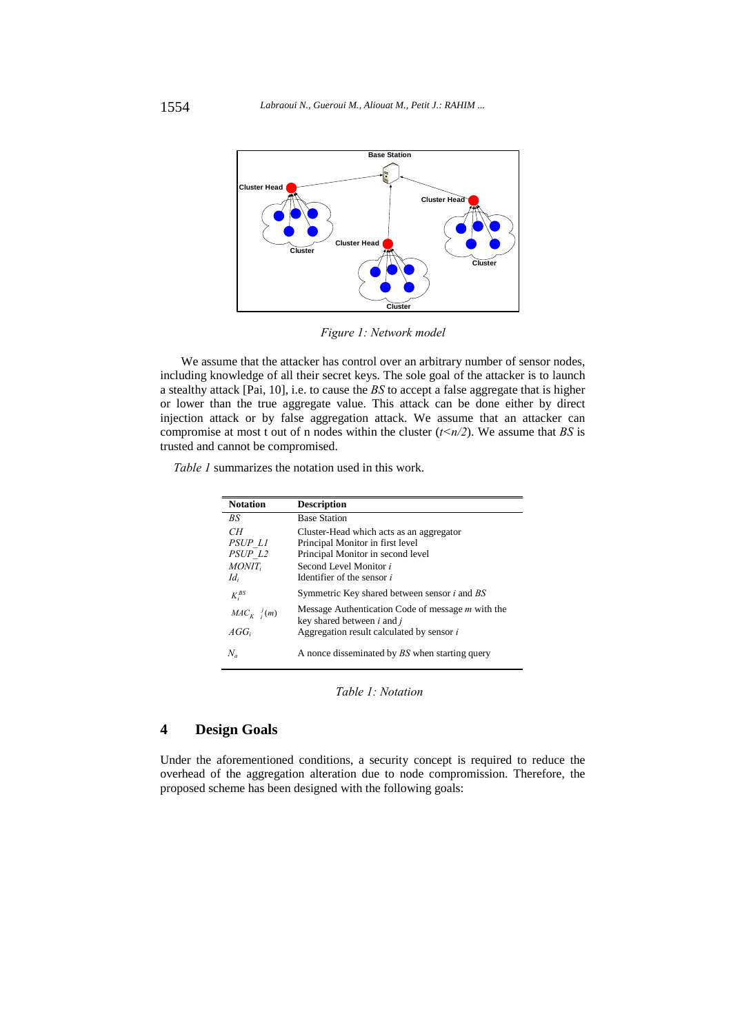

*Figure 1: Network model* 

We assume that the attacker has control over an arbitrary number of sensor nodes, including knowledge of all their secret keys. The sole goal of the attacker is to launch a stealthy attack [Pai, 10], i.e. to cause the *BS* to accept a false aggregate that is higher or lower than the true aggregate value. This attack can be done either by direct injection attack or by false aggregation attack. We assume that an attacker can compromise at most t out of n nodes within the cluster  $(t \le n/2)$ . We assume that *BS* is trusted and cannot be compromised.

*Table 1* summarizes the notation used in this work.

| <b>Notation</b>        | <b>Description</b>                                                                            |
|------------------------|-----------------------------------------------------------------------------------------------|
| BS                     | <b>Base Station</b>                                                                           |
| CН<br>PSUP LI          | Cluster-Head which acts as an aggregator<br>Principal Monitor in first level                  |
| PSUP L2                | Principal Monitor in second level                                                             |
| $MONT_i$               | Second Level Monitor i                                                                        |
| $Id_i$                 | Identifier of the sensor i                                                                    |
| $K_i^{BS}$             | Symmetric Key shared between sensor <i>i</i> and <i>BS</i>                                    |
| $MAC_K \frac{J}{i}(m)$ | Message Authentication Code of message m with the<br>key shared between <i>i</i> and <i>j</i> |
| $AGG_i$                | Aggregation result calculated by sensor i                                                     |
| $N_a$                  | A nonce disseminated by BS when starting query                                                |

*Table 1: Notation* 

# **4 Design Goals**

Under the aforementioned conditions, a security concept is required to reduce the overhead of the aggregation alteration due to node compromission. Therefore, the proposed scheme has been designed with the following goals: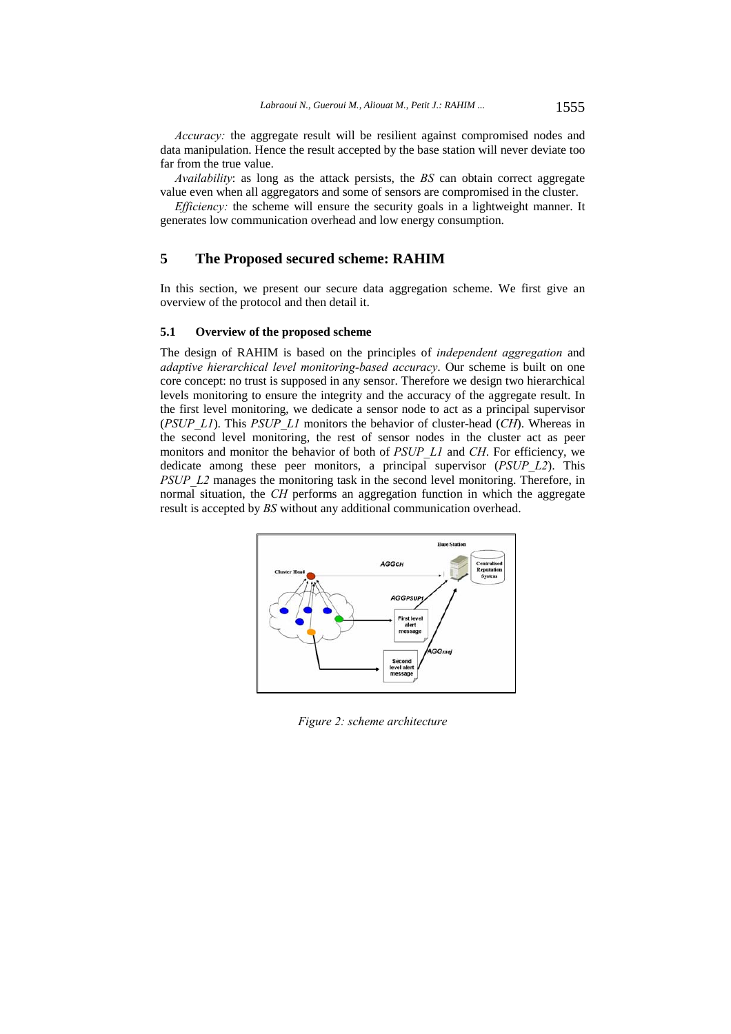*Accuracy:* the aggregate result will be resilient against compromised nodes and data manipulation. Hence the result accepted by the base station will never deviate too far from the true value.

*Availability*: as long as the attack persists, the *BS* can obtain correct aggregate value even when all aggregators and some of sensors are compromised in the cluster.

*Efficiency:* the scheme will ensure the security goals in a lightweight manner. It generates low communication overhead and low energy consumption.

# **5 The Proposed secured scheme: RAHIM**

In this section, we present our secure data aggregation scheme. We first give an overview of the protocol and then detail it.

#### **5.1 Overview of the proposed scheme**

The design of RAHIM is based on the principles of *independent aggregation* and *adaptive hierarchical level monitoring-based accuracy*. Our scheme is built on one core concept: no trust is supposed in any sensor. Therefore we design two hierarchical levels monitoring to ensure the integrity and the accuracy of the aggregate result. In the first level monitoring, we dedicate a sensor node to act as a principal supervisor (*PSUP\_L1*). This *PSUP\_L1* monitors the behavior of cluster-head (*CH*). Whereas in the second level monitoring, the rest of sensor nodes in the cluster act as peer monitors and monitor the behavior of both of *PSUP\_L1* and *CH*. For efficiency, we dedicate among these peer monitors, a principal supervisor (*PSUP\_L2*). This *PSUP\_L2* manages the monitoring task in the second level monitoring. Therefore, in normal situation, the *CH* performs an aggregation function in which the aggregate result is accepted by *BS* without any additional communication overhead.



*Figure 2: scheme architecture*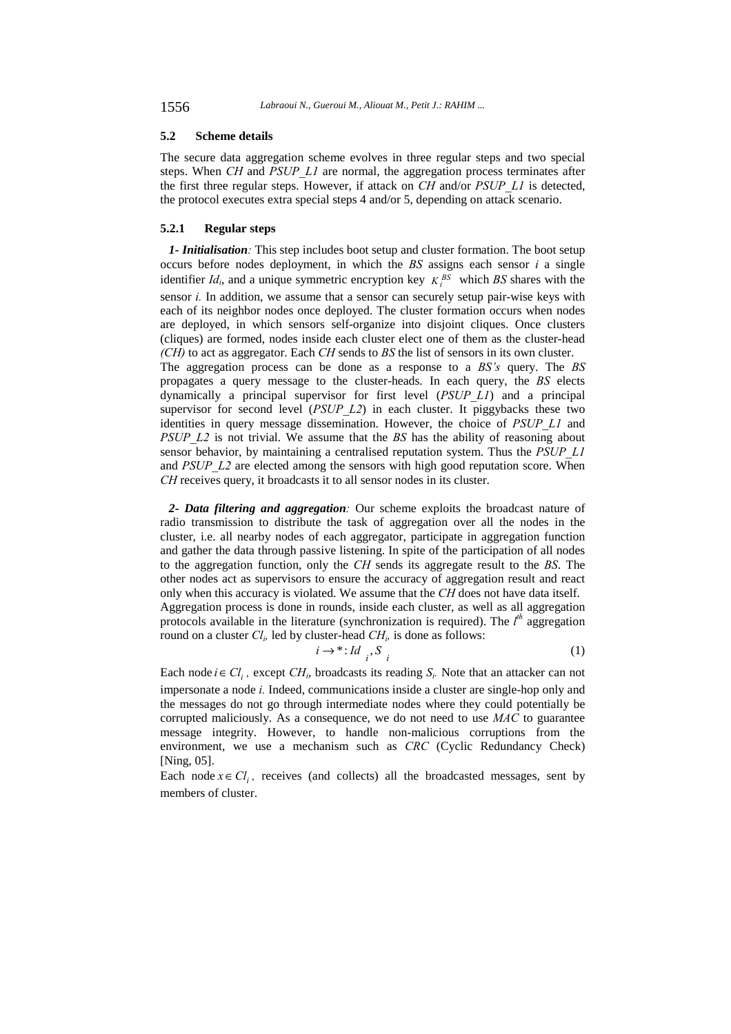#### **5.2 Scheme details**

The secure data aggregation scheme evolves in three regular steps and two special steps. When *CH* and *PSUP\_L1* are normal, the aggregation process terminates after the first three regular steps. However, if attack on *CH* and/or *PSUP\_L1* is detected, the protocol executes extra special steps 4 and/or 5, depending on attack scenario.

### **5.2.1 Regular steps**

*1- Initialisation:* This step includes boot setup and cluster formation. The boot setup occurs before nodes deployment, in which the *BS* assigns each sensor *i* a single identifier  $Id_i$ , and a unique symmetric encryption key  $K_i^{BS}$  which BS shares with the sensor *i.* In addition, we assume that a sensor can securely setup pair-wise keys with each of its neighbor nodes once deployed. The cluster formation occurs when nodes are deployed, in which sensors self-organize into disjoint cliques. Once clusters (cliques) are formed, nodes inside each cluster elect one of them as the cluster-head *(CH)* to act as aggregator. Each *CH* sends to *BS* the list of sensors in its own cluster. The aggregation process can be done as a response to a *BS's* query. The *BS* 

propagates a query message to the cluster-heads. In each query, the *BS* elects dynamically a principal supervisor for first level (*PSUP\_L1*) and a principal supervisor for second level (*PSUP\_L2*) in each cluster. It piggybacks these two identities in query message dissemination. However, the choice of *PSUP\_L1* and *PSUP\_L2* is not trivial. We assume that the *BS* has the ability of reasoning about sensor behavior, by maintaining a centralised reputation system. Thus the *PSUP\_L1*  and *PSUP L2* are elected among the sensors with high good reputation score. When *CH* receives query, it broadcasts it to all sensor nodes in its cluster.

*2- Data filtering and aggregation:* Our scheme exploits the broadcast nature of radio transmission to distribute the task of aggregation over all the nodes in the cluster, i.e. all nearby nodes of each aggregator, participate in aggregation function and gather the data through passive listening. In spite of the participation of all nodes to the aggregation function, only the *CH* sends its aggregate result to the *BS*. The other nodes act as supervisors to ensure the accuracy of aggregation result and react only when this accuracy is violated. We assume that the *CH* does not have data itself. Aggregation process is done in rounds, inside each cluster, as well as all aggregation protocols available in the literature (synchronization is required). The  $l<sup>th</sup>$  aggregation round on a cluster  $Cl_i$ , led by cluster-head  $CH_i$ , is done as follows:

$$
i \to^* : Id_{i} S_{i}
$$
 (1)

Each node  $i \in Cl_i$ , except  $CH_i$ , broadcasts its reading  $S_i$ . Note that an attacker can not impersonate a node *i.* Indeed, communications inside a cluster are single-hop only and the messages do not go through intermediate nodes where they could potentially be corrupted maliciously. As a consequence, we do not need to use *MAC* to guarantee message integrity. However, to handle non-malicious corruptions from the environment, we use a mechanism such as *CRC* (Cyclic Redundancy Check) [Ning, 05].

Each node  $x \in Cl_i$ , receives (and collects) all the broadcasted messages, sent by members of cluster.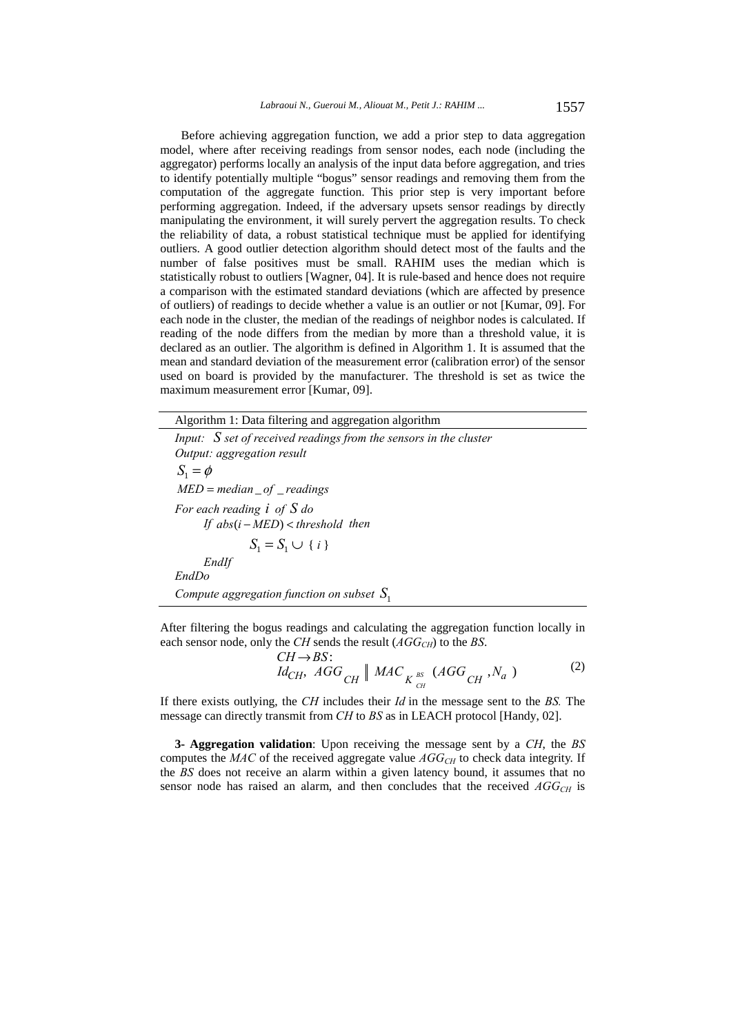Before achieving aggregation function, we add a prior step to data aggregation model, where after receiving readings from sensor nodes, each node (including the aggregator) performs locally an analysis of the input data before aggregation, and tries to identify potentially multiple "bogus" sensor readings and removing them from the computation of the aggregate function. This prior step is very important before performing aggregation. Indeed, if the adversary upsets sensor readings by directly manipulating the environment, it will surely pervert the aggregation results. To check the reliability of data, a robust statistical technique must be applied for identifying outliers. A good outlier detection algorithm should detect most of the faults and the number of false positives must be small. RAHIM uses the median which is statistically robust to outliers [Wagner, 04]. It is rule-based and hence does not require a comparison with the estimated standard deviations (which are affected by presence of outliers) of readings to decide whether a value is an outlier or not [Kumar, 09]. For each node in the cluster, the median of the readings of neighbor nodes is calculated. If reading of the node differs from the median by more than a threshold value, it is declared as an outlier. The algorithm is defined in Algorithm 1. It is assumed that the mean and standard deviation of the measurement error (calibration error) of the sensor used on board is provided by the manufacturer. The threshold is set as twice the maximum measurement error [Kumar, 09].

Algorithm 1: Data filtering and aggregation algorithm

*Input: S set of received readings from the sensors in the cluster Output: aggregation result*   $S_1 = \phi$ *MED* = *median* \_ *of* \_ *readings For each reading i of S do If abs*(*i* − *MED*) < *threshold then*   $S_1 = S_1 \cup \{ i \}$  *EndIf EndDo Compute aggregation function on subset S*<sup>1</sup>

After filtering the bogus readings and calculating the aggregation function locally in each sensor node, only the *CH* sends the result  $(AGG<sub>CH</sub>)$  to the *BS*.

> ,  $AGG_{_{CUI}}$  MAC<sub> $_{_{US}}$  MGG<sub>CU</sub>,  $N_a$ )</sub> :  $\frac{d}{d}_{CH}$ ,  $\frac{AGG}{CH}$   $\parallel$   $\frac{MAC}{K}$   $\frac{_{BS}}{_{C}}$   $\left(\frac{AGG}{CH}, \frac{N_{a}}{N_{a}}\right)$  $CH \rightarrow BS$ *BS CH*  $\rightarrow$ *BS*:<br>  $\stackrel{\frown}{ACG}$  | *MAC* (*AGG N*) (2)

If there exists outlying, the *CH* includes their *Id* in the message sent to the *BS.* The message can directly transmit from *CH* to *BS* as in LEACH protocol [Handy, 02].

**3- Aggregation validation**: Upon receiving the message sent by a *CH*, the *BS* computes the  $MAC$  of the received aggregate value  $AGG<sub>CH</sub>$  to check data integrity. If the *BS* does not receive an alarm within a given latency bound, it assumes that no sensor node has raised an alarm, and then concludes that the received  $AGG<sub>CH</sub>$  is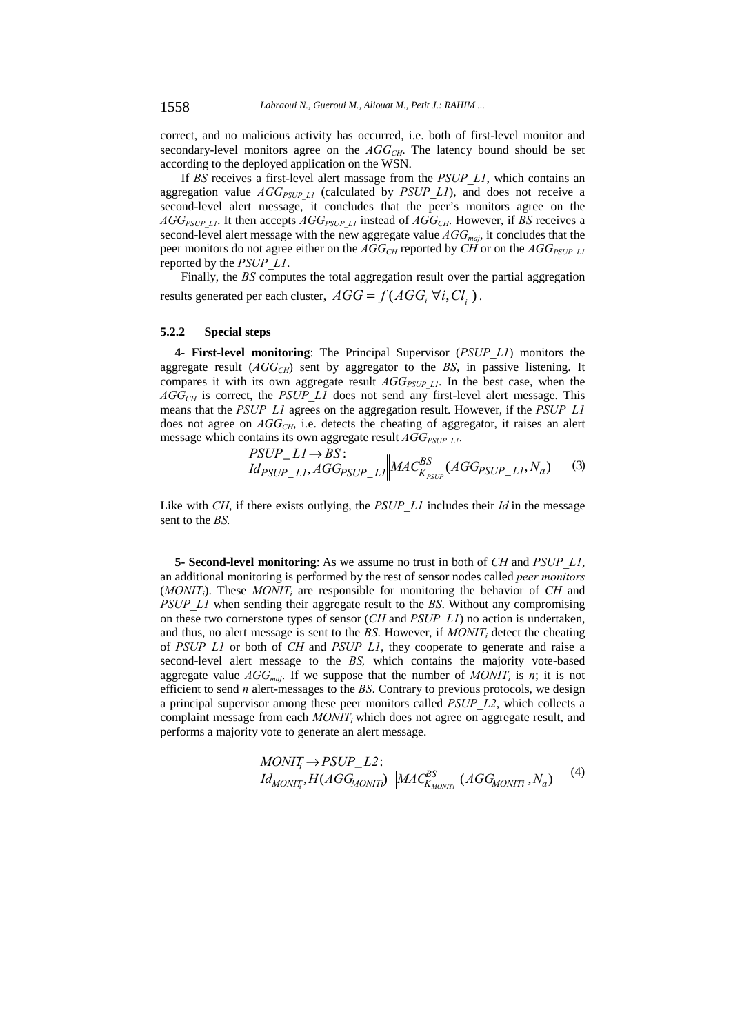correct, and no malicious activity has occurred, i.e. both of first-level monitor and secondary-level monitors agree on the  $AGG_{CH}$ . The latency bound should be set according to the deployed application on the WSN.

If *BS* receives a first-level alert massage from the *PSUP\_L1*, which contains an aggregation value  $AGG_{PSUPL1}$  (calculated by *PSUP L1*), and does not receive a second-level alert message, it concludes that the peer's monitors agree on the  $AGG_{PSUP\_LI}$ . It then accepts  $AGG_{PSUP\_LI}$  instead of  $AGG_{CH}$ . However, if *BS* receives a second-level alert message with the new aggregate value  $AGG_{maj}$ , it concludes that the peer monitors do not agree either on the  $AGG_{CH}$  reported by *CH* or on the  $AGG_{PSUPL1}$ reported by the *PSUP\_L1*.

Finally, the *BS* computes the total aggregation result over the partial aggregation results generated per each cluster,  $AGG = f(AGG_i | \forall i, Cl_i)$ .

#### **5.2.2 Special steps**

**4- First-level monitoring**: The Principal Supervisor (*PSUP\_L1*) monitors the aggregate result  $(AGG<sub>CH</sub>)$  sent by aggregator to the *BS*, in passive listening. It compares it with its own aggregate result  $AGG_{PSUP\;LI}$ . In the best case, when the *AGGCH* is correct, the *PSUP\_L1* does not send any first-level alert message. This means that the *PSUP\_L1* agrees on the aggregation result. However, if the *PSUP\_L1* does not agree on *AGG<sub>CH</sub>*, i.e. detects the cheating of aggregator, it raises an alert message which contains its own aggregate result  $AGG_{PSUPL1}$ .

$$
PSUP\_LI \rightarrow BS:
$$
  

$$
Id_{PSUP\_LI}AGG_{PSUP\_LI} \Big\| MAC_{K_{PSUP}}^{BS} (AGG_{PSUP\_LI}, N_a)
$$
 (3)

Like with *CH*, if there exists outlying, the *PSUP* L1 includes their *Id* in the message sent to the *BS.*

**5- Second-level monitoring**: As we assume no trust in both of *CH* and *PSUP\_L1*, an additional monitoring is performed by the rest of sensor nodes called *peer monitors*  $(MONIT<sub>i</sub>)$ . These  $MONIT<sub>i</sub>$  are responsible for monitoring the behavior of *CH* and *PSUP\_L1* when sending their aggregate result to the *BS*. Without any compromising on these two cornerstone types of sensor (*CH* and *PSUP\_L1*) no action is undertaken, and thus, no alert message is sent to the *BS*. However, if  $MONT_i$  detect the cheating of *PSUP\_L1* or both of *CH* and *PSUP\_L1*, they cooperate to generate and raise a second-level alert message to the *BS,* which contains the majority vote-based aggregate value  $AGG_{\text{maj}}$ . If we suppose that the number of  $MONT_i$  is *n*; it is not efficient to send *n* alert-messages to the *BS*. Contrary to previous protocols, we design a principal supervisor among these peer monitors called *PSUP\_L2*, which collects a complaint message from each *MONIT<sub>i</sub>* which does not agree on aggregate result, and performs a majority vote to generate an alert message.

$$
MONIT_i \to PSUP\_L2: IdMONIT_i, H(AGGMONITi) || MACBSKMONITi (AGGMONITi, Na)
$$
 (4)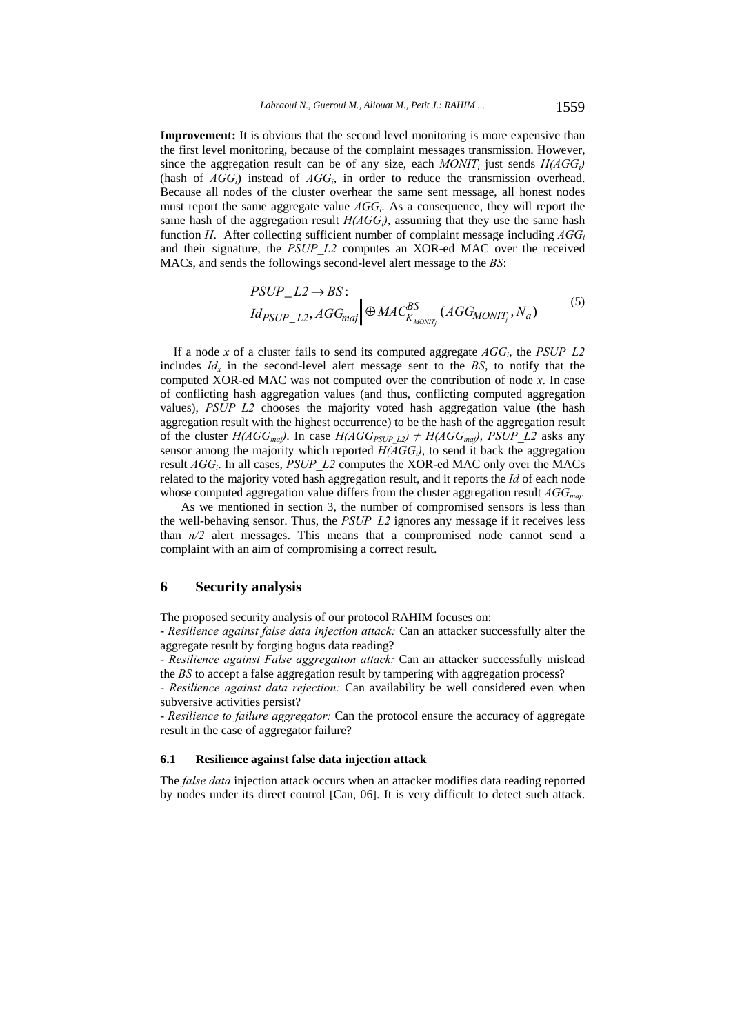**Improvement:** It is obvious that the second level monitoring is more expensive than the first level monitoring, because of the complaint messages transmission. However, since the aggregation result can be of any size, each  $MONT_i$  just sends  $H(AGG_i)$ (hash of  $AGG_i$ ) instead of  $AGG_i$ , in order to reduce the transmission overhead. Because all nodes of the cluster overhear the same sent message, all honest nodes must report the same aggregate value *AGGi*. As a consequence, they will report the same hash of the aggregation result  $H(AGG<sub>i</sub>)$ , assuming that they use the same hash function *H*. After collecting sufficient number of complaint message including  $AGG_i$ and their signature, the *PSUP\_L2* computes an XOR-ed MAC over the received MACs, and sends the followings second-level alert message to the *BS*:

$$
PSUP\_L2 \to BS:
$$
  

$$
Id_{PSUP\_L2}, AGG_{maj} \Big\| \oplus MAC_{K_{MONIT_i}}^{BS}(AGG_{MONIT_j}, N_a)
$$
 (5)

If a node x of a cluster fails to send its computed aggregate  $AGG<sub>i</sub>$ , the *PSUP* L2 includes  $Id_x$  in the second-level alert message sent to the BS, to notify that the computed XOR-ed MAC was not computed over the contribution of node *x*. In case of conflicting hash aggregation values (and thus, conflicting computed aggregation values), *PSUP L2* chooses the majority voted hash aggregation value (the hash aggregation result with the highest occurrence) to be the hash of the aggregation result of the cluster  $H(AGG_{\text{maj}})$ . In case  $H(AGG_{\text{PSUP L2}}) \neq H(AGG_{\text{maj}})$ , *PSUP L2* asks any sensor among the majority which reported  $H(AGG_i)$ , to send it back the aggregation result *AGGi*. In all cases, *PSUP\_L2* computes the XOR-ed MAC only over the MACs related to the majority voted hash aggregation result, and it reports the *Id* of each node whose computed aggregation value differs from the cluster aggregation result  $AGG<sub>mai</sub>$ .

As we mentioned in section 3, the number of compromised sensors is less than the well-behaving sensor. Thus, the *PSUP\_L2* ignores any message if it receives less than *n/2* alert messages. This means that a compromised node cannot send a complaint with an aim of compromising a correct result.

# **6 Security analysis**

The proposed security analysis of our protocol RAHIM focuses on:

- *Resilience against false data injection attack:* Can an attacker successfully alter the aggregate result by forging bogus data reading?

- *Resilience against False aggregation attack:* Can an attacker successfully mislead the *BS* to accept a false aggregation result by tampering with aggregation process?

*- Resilience against data rejection:* Can availability be well considered even when subversive activities persist?

- *Resilience to failure aggregator:* Can the protocol ensure the accuracy of aggregate result in the case of aggregator failure?

#### **6.1 Resilience against false data injection attack**

The *false data* injection attack occurs when an attacker modifies data reading reported by nodes under its direct control [Can, 06]. It is very difficult to detect such attack.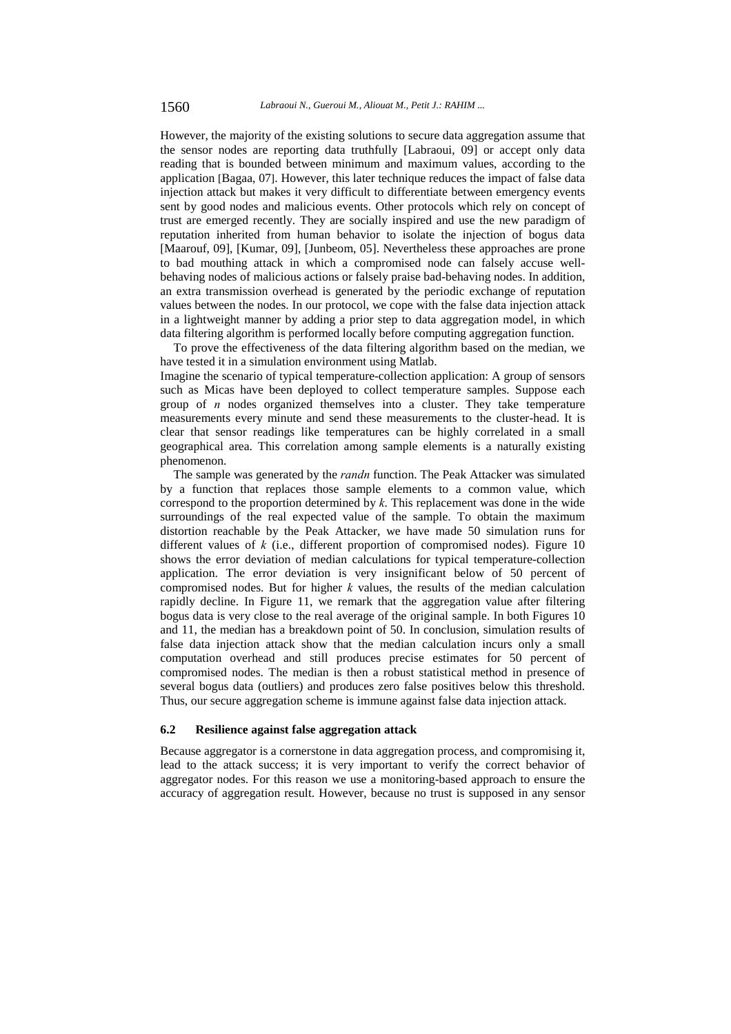However, the majority of the existing solutions to secure data aggregation assume that the sensor nodes are reporting data truthfully [Labraoui, 09] or accept only data reading that is bounded between minimum and maximum values, according to the application [Bagaa, 07]. However, this later technique reduces the impact of false data injection attack but makes it very difficult to differentiate between emergency events sent by good nodes and malicious events. Other protocols which rely on concept of trust are emerged recently. They are socially inspired and use the new paradigm of reputation inherited from human behavior to isolate the injection of bogus data [Maarouf, 09], [Kumar, 09], [Junbeom, 05]. Nevertheless these approaches are prone to bad mouthing attack in which a compromised node can falsely accuse wellbehaving nodes of malicious actions or falsely praise bad-behaving nodes. In addition, an extra transmission overhead is generated by the periodic exchange of reputation values between the nodes. In our protocol, we cope with the false data injection attack in a lightweight manner by adding a prior step to data aggregation model, in which data filtering algorithm is performed locally before computing aggregation function.

To prove the effectiveness of the data filtering algorithm based on the median, we have tested it in a simulation environment using Matlab.

Imagine the scenario of typical temperature-collection application: A group of sensors such as Micas have been deployed to collect temperature samples. Suppose each group of *n* nodes organized themselves into a cluster. They take temperature measurements every minute and send these measurements to the cluster-head. It is clear that sensor readings like temperatures can be highly correlated in a small geographical area. This correlation among sample elements is a naturally existing phenomenon.

The sample was generated by the *randn* function. The Peak Attacker was simulated by a function that replaces those sample elements to a common value, which correspond to the proportion determined by *k*. This replacement was done in the wide surroundings of the real expected value of the sample. To obtain the maximum distortion reachable by the Peak Attacker, we have made 50 simulation runs for different values of *k* (i.e., different proportion of compromised nodes). Figure 10 shows the error deviation of median calculations for typical temperature-collection application. The error deviation is very insignificant below of 50 percent of compromised nodes. But for higher *k* values, the results of the median calculation rapidly decline. In Figure 11, we remark that the aggregation value after filtering bogus data is very close to the real average of the original sample. In both Figures 10 and 11, the median has a breakdown point of 50. In conclusion, simulation results of false data injection attack show that the median calculation incurs only a small computation overhead and still produces precise estimates for 50 percent of compromised nodes. The median is then a robust statistical method in presence of several bogus data (outliers) and produces zero false positives below this threshold. Thus, our secure aggregation scheme is immune against false data injection attack.

#### **6.2 Resilience against false aggregation attack**

Because aggregator is a cornerstone in data aggregation process, and compromising it, lead to the attack success; it is very important to verify the correct behavior of aggregator nodes. For this reason we use a monitoring-based approach to ensure the accuracy of aggregation result. However, because no trust is supposed in any sensor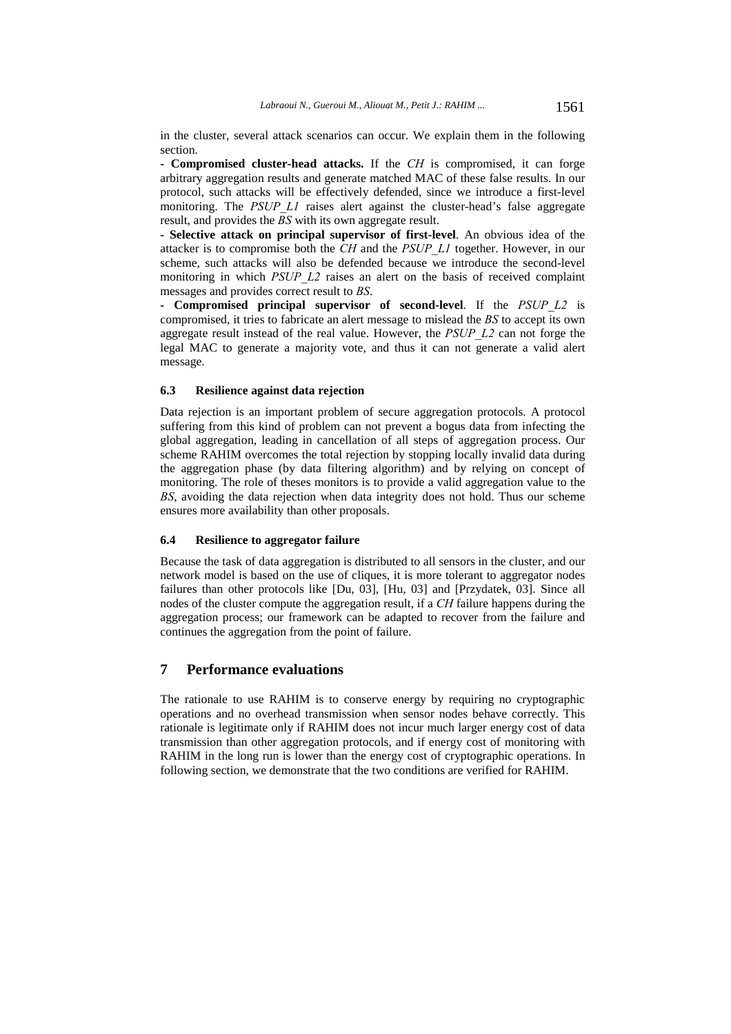in the cluster, several attack scenarios can occur. We explain them in the following section.

**- Compromised cluster-head attacks.** If the *CH* is compromised, it can forge arbitrary aggregation results and generate matched MAC of these false results. In our protocol, such attacks will be effectively defended, since we introduce a first-level monitoring. The *PSUP L1* raises alert against the cluster-head's false aggregate result, and provides the *BS* with its own aggregate result.

**- Selective attack on principal supervisor of first-level**. An obvious idea of the attacker is to compromise both the *CH* and the *PSUP\_L1* together. However, in our scheme, such attacks will also be defended because we introduce the second-level monitoring in which *PSUP L2* raises an alert on the basis of received complaint messages and provides correct result to *BS*.

**- Compromised principal supervisor of second-level**. If the *PSUP\_L2* is compromised, it tries to fabricate an alert message to mislead the *BS* to accept its own aggregate result instead of the real value. However, the *PSUP\_L2* can not forge the legal MAC to generate a majority vote, and thus it can not generate a valid alert message.

### **6.3 Resilience against data rejection**

Data rejection is an important problem of secure aggregation protocols. A protocol suffering from this kind of problem can not prevent a bogus data from infecting the global aggregation, leading in cancellation of all steps of aggregation process. Our scheme RAHIM overcomes the total rejection by stopping locally invalid data during the aggregation phase (by data filtering algorithm) and by relying on concept of monitoring. The role of theses monitors is to provide a valid aggregation value to the *BS*, avoiding the data rejection when data integrity does not hold. Thus our scheme ensures more availability than other proposals.

#### **6.4 Resilience to aggregator failure**

Because the task of data aggregation is distributed to all sensors in the cluster, and our network model is based on the use of cliques, it is more tolerant to aggregator nodes failures than other protocols like [Du, 03], [Hu, 03] and [Przydatek, 03]. Since all nodes of the cluster compute the aggregation result, if a *CH* failure happens during the aggregation process; our framework can be adapted to recover from the failure and continues the aggregation from the point of failure.

# **7 Performance evaluations**

The rationale to use RAHIM is to conserve energy by requiring no cryptographic operations and no overhead transmission when sensor nodes behave correctly. This rationale is legitimate only if RAHIM does not incur much larger energy cost of data transmission than other aggregation protocols, and if energy cost of monitoring with RAHIM in the long run is lower than the energy cost of cryptographic operations. In following section, we demonstrate that the two conditions are verified for RAHIM.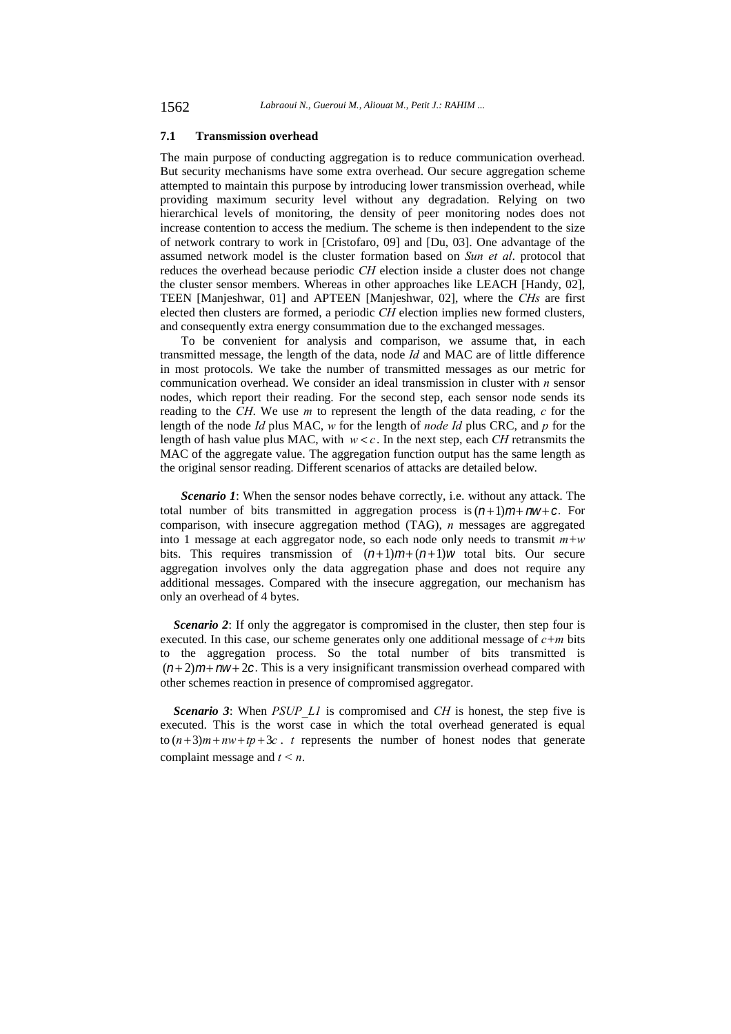### **7.1 Transmission overhead**

The main purpose of conducting aggregation is to reduce communication overhead. But security mechanisms have some extra overhead. Our secure aggregation scheme attempted to maintain this purpose by introducing lower transmission overhead, while providing maximum security level without any degradation. Relying on two hierarchical levels of monitoring, the density of peer monitoring nodes does not increase contention to access the medium. The scheme is then independent to the size of network contrary to work in [Cristofaro, 09] and [Du, 03]. One advantage of the assumed network model is the cluster formation based on *Sun et al*. protocol that reduces the overhead because periodic *CH* election inside a cluster does not change the cluster sensor members. Whereas in other approaches like LEACH [Handy, 02], TEEN [Manjeshwar, 01] and APTEEN [Manjeshwar, 02], where the *CHs* are first elected then clusters are formed, a periodic *CH* election implies new formed clusters, and consequently extra energy consummation due to the exchanged messages.

To be convenient for analysis and comparison, we assume that, in each transmitted message, the length of the data, node *Id* and MAC are of little difference in most protocols. We take the number of transmitted messages as our metric for communication overhead. We consider an ideal transmission in cluster with *n* sensor nodes, which report their reading. For the second step, each sensor node sends its reading to the *CH*. We use *m* to represent the length of the data reading, *c* for the length of the node *Id* plus MAC, *w* for the length of *node Id* plus CRC, and *p* for the length of hash value plus MAC, with  $w < c$ . In the next step, each *CH* retransmits the MAC of the aggregate value. The aggregation function output has the same length as the original sensor reading. Different scenarios of attacks are detailed below.

*Scenario 1*: When the sensor nodes behave correctly, i.e. without any attack. The total number of bits transmitted in aggregation process is  $(n+1)m + nw + c$ . For comparison, with insecure aggregation method (TAG), *n* messages are aggregated into 1 message at each aggregator node, so each node only needs to transmit *m+w* bits. This requires transmission of  $(n+1)m+(n+1)w$  total bits. Our secure aggregation involves only the data aggregation phase and does not require any additional messages. Compared with the insecure aggregation, our mechanism has only an overhead of 4 bytes.

*Scenario 2*: If only the aggregator is compromised in the cluster, then step four is executed. In this case, our scheme generates only one additional message of  $c+m$  bits to the aggregation process. So the total number of bits transmitted is  $(n+2)m+nw+2c$ . This is a very insignificant transmission overhead compared with other schemes reaction in presence of compromised aggregator.

*Scenario 3*: When *PSUP L1* is compromised and *CH* is honest, the step five is executed. This is the worst case in which the total overhead generated is equal to  $(n+3)m + nw + tp + 3c$ . *t* represents the number of honest nodes that generate complaint message and *t < n*.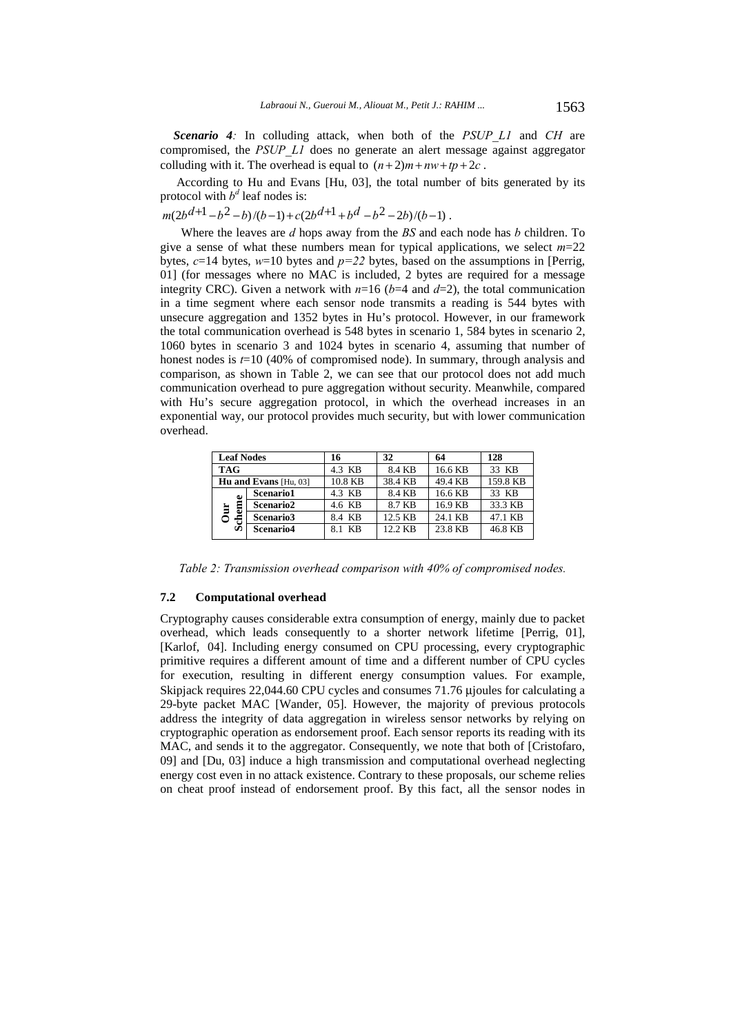*Scenario 4:* In colluding attack, when both of the *PSUP\_L1* and *CH* are compromised, the *PSUP\_L1* does no generate an alert message against aggregator colluding with it. The overhead is equal to  $(n+2)m + nw + tp + 2c$ .

 According to Hu and Evans [Hu, 03], the total number of bits generated by its protocol with  $b^d$  leaf nodes is:

 $m(2b^{d+1}-b^2-b)/(b-1)+c(2b^{d+1}+b^d-b^2-2b)/(b-1)$ .

Where the leaves are *d* hops away from the *BS* and each node has *b* children. To give a sense of what these numbers mean for typical applications, we select *m*=22 bytes,  $c=14$  bytes,  $w=10$  bytes and  $p=22$  bytes, based on the assumptions in [Perrig, 01] (for messages where no MAC is included, 2 bytes are required for a message integrity CRC). Given a network with  $n=16$  ( $b=4$  and  $d=2$ ), the total communication in a time segment where each sensor node transmits a reading is 544 bytes with unsecure aggregation and 1352 bytes in Hu's protocol. However, in our framework the total communication overhead is 548 bytes in scenario 1, 584 bytes in scenario 2, 1060 bytes in scenario 3 and 1024 bytes in scenario 4, assuming that number of honest nodes is  $t=10$  (40% of compromised node). In summary, through analysis and comparison, as shown in Table 2, we can see that our protocol does not add much communication overhead to pure aggregation without security. Meanwhile, compared with Hu's secure aggregation protocol, in which the overhead increases in an exponential way, our protocol provides much security, but with lower communication overhead.

| <b>Leaf Nodes</b> |                              | 16      | 32      | 64      | 128      |
|-------------------|------------------------------|---------|---------|---------|----------|
| <b>TAG</b>        |                              | 4.3 KB  | 8.4 KB  | 16.6 KB | 33 KB    |
|                   | <b>Hu and Evans</b> [Hu, 03] | 10.8 KB | 38.4 KB | 49.4 KB | 159.8 KB |
| ω                 | <b>Scenario1</b>             | 4.3 KB  | 8.4 KB  | 16.6 KB | 33 KB    |
| Ē<br>È            | <b>Scenario2</b>             | 4.6 KB  | 8.7 KB  | 16.9 KB | 33.3 KB  |
| 号                 | Scenario3                    | 8.4 KB  | 12.5 KB | 24.1 KB | 47.1 KB  |
| S                 | Scenario <sub>4</sub>        | 8.1 KB  | 12.2 KB | 23.8 KB | 46.8 KB  |

*Table 2: Transmission overhead comparison with 40% of compromised nodes.* 

### **7.2 Computational overhead**

Cryptography causes considerable extra consumption of energy, mainly due to packet overhead, which leads consequently to a shorter network lifetime [Perrig, 01], [Karlof, 04]. Including energy consumed on CPU processing, every cryptographic primitive requires a different amount of time and a different number of CPU cycles for execution, resulting in different energy consumption values. For example, Skipjack requires 22,044.60 CPU cycles and consumes 71.76 μjoules for calculating a 29-byte packet MAC [Wander, 05]. However, the majority of previous protocols address the integrity of data aggregation in wireless sensor networks by relying on cryptographic operation as endorsement proof. Each sensor reports its reading with its MAC, and sends it to the aggregator. Consequently, we note that both of [Cristofaro, 09] and [Du, 03] induce a high transmission and computational overhead neglecting energy cost even in no attack existence. Contrary to these proposals, our scheme relies on cheat proof instead of endorsement proof. By this fact, all the sensor nodes in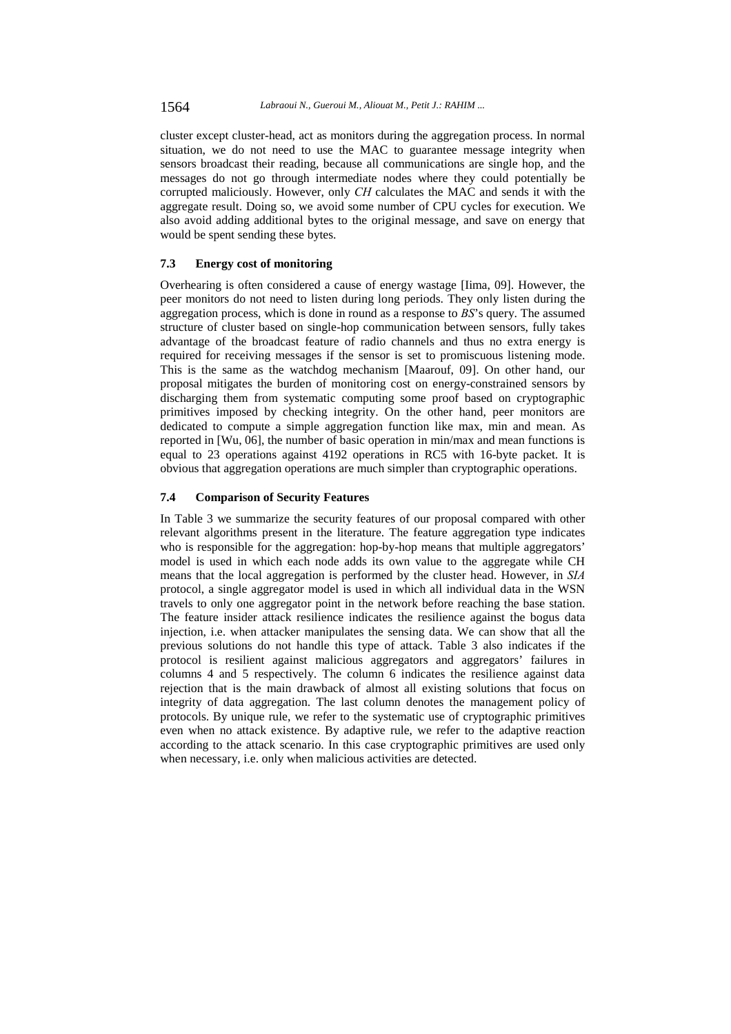cluster except cluster-head, act as monitors during the aggregation process. In normal situation, we do not need to use the MAC to guarantee message integrity when sensors broadcast their reading, because all communications are single hop, and the messages do not go through intermediate nodes where they could potentially be corrupted maliciously. However, only *CH* calculates the MAC and sends it with the aggregate result. Doing so, we avoid some number of CPU cycles for execution. We also avoid adding additional bytes to the original message, and save on energy that would be spent sending these bytes.

# **7.3 Energy cost of monitoring**

Overhearing is often considered a cause of energy wastage [Iima, 09]. However, the peer monitors do not need to listen during long periods. They only listen during the aggregation process, which is done in round as a response to *BS*'s query. The assumed structure of cluster based on single-hop communication between sensors, fully takes advantage of the broadcast feature of radio channels and thus no extra energy is required for receiving messages if the sensor is set to promiscuous listening mode. This is the same as the watchdog mechanism [Maarouf, 09]. On other hand, our proposal mitigates the burden of monitoring cost on energy-constrained sensors by discharging them from systematic computing some proof based on cryptographic primitives imposed by checking integrity. On the other hand, peer monitors are dedicated to compute a simple aggregation function like max, min and mean. As reported in [Wu, 06], the number of basic operation in min/max and mean functions is equal to 23 operations against 4192 operations in RC5 with 16-byte packet. It is obvious that aggregation operations are much simpler than cryptographic operations.

# **7.4 Comparison of Security Features**

In Table 3 we summarize the security features of our proposal compared with other relevant algorithms present in the literature. The feature aggregation type indicates who is responsible for the aggregation: hop-by-hop means that multiple aggregators' model is used in which each node adds its own value to the aggregate while CH means that the local aggregation is performed by the cluster head. However, in *SIA* protocol, a single aggregator model is used in which all individual data in the WSN travels to only one aggregator point in the network before reaching the base station. The feature insider attack resilience indicates the resilience against the bogus data injection, i.e. when attacker manipulates the sensing data. We can show that all the previous solutions do not handle this type of attack. Table 3 also indicates if the protocol is resilient against malicious aggregators and aggregators' failures in columns 4 and 5 respectively. The column 6 indicates the resilience against data rejection that is the main drawback of almost all existing solutions that focus on integrity of data aggregation. The last column denotes the management policy of protocols. By unique rule, we refer to the systematic use of cryptographic primitives even when no attack existence. By adaptive rule, we refer to the adaptive reaction according to the attack scenario. In this case cryptographic primitives are used only when necessary, i.e. only when malicious activities are detected.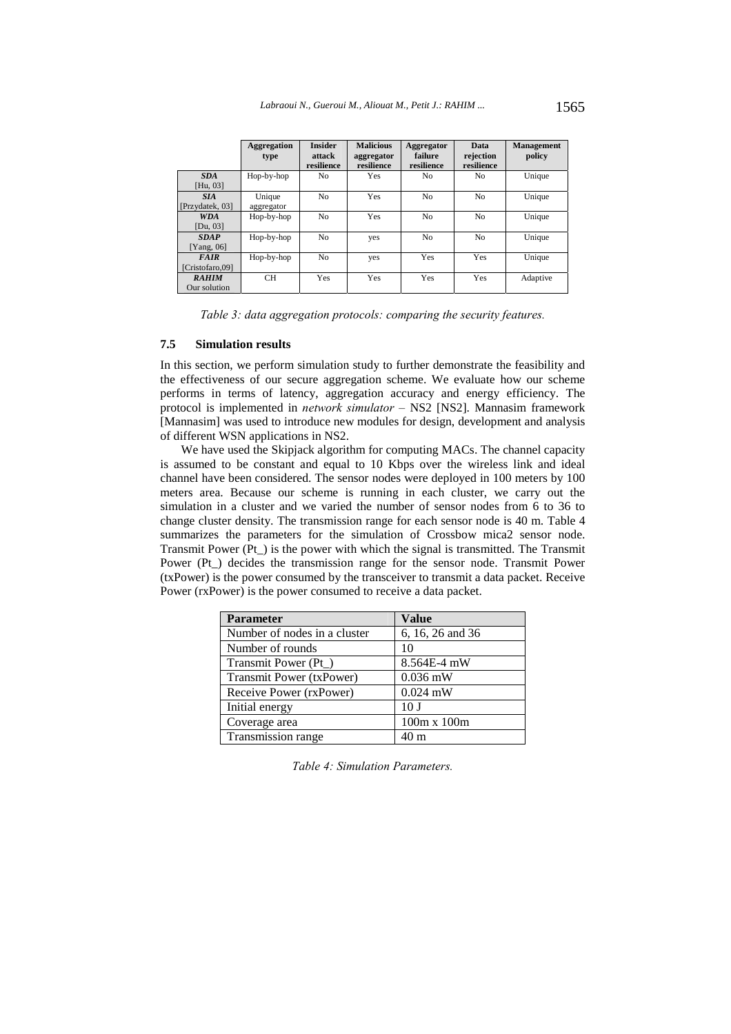|                                | <b>Aggregation</b><br>type | <b>Insider</b><br>attack<br>resilience | <b>Malicious</b><br>aggregator<br>resilience | Aggregator<br>failure<br>resilience | Data<br>rejection<br>resilience | <b>Management</b><br>policy |
|--------------------------------|----------------------------|----------------------------------------|----------------------------------------------|-------------------------------------|---------------------------------|-----------------------------|
| <b>SDA</b><br>[Hu, 03]         | Hop-by-hop                 | N <sub>0</sub>                         | <b>Yes</b>                                   | No                                  | No                              | Unique                      |
| <b>SIA</b><br>[Przydatek, 03]  | Unique<br>aggregator       | N <sub>o</sub>                         | Yes                                          | No                                  | No                              | Unique                      |
| <b>WDA</b><br>[Du, 03]         | Hop-by-hop                 | No                                     | Yes                                          | No                                  | No                              | Unique                      |
| <b>SDAP</b><br>[Yang, $06$ ]   | Hop-by-hop                 | No.                                    | yes                                          | No                                  | No                              | Unique                      |
| <b>FAIR</b><br>[Cristofaro.09] | Hop-by-hop                 | No.                                    | yes                                          | Yes                                 | Yes                             | Unique                      |
| <b>RAHIM</b><br>Our solution   | <b>CH</b>                  | Yes                                    | Yes                                          | Yes                                 | Yes                             | Adaptive                    |

*Table 3: data aggregation protocols: comparing the security features.* 

### **7.5 Simulation results**

In this section, we perform simulation study to further demonstrate the feasibility and the effectiveness of our secure aggregation scheme. We evaluate how our scheme performs in terms of latency, aggregation accuracy and energy efficiency. The protocol is implemented in *network simulator –* NS2 [NS2]. Mannasim framework [Mannasim] was used to introduce new modules for design, development and analysis of different WSN applications in NS2.

We have used the Skipjack algorithm for computing MACs. The channel capacity is assumed to be constant and equal to 10 Kbps over the wireless link and ideal channel have been considered. The sensor nodes were deployed in 100 meters by 100 meters area. Because our scheme is running in each cluster, we carry out the simulation in a cluster and we varied the number of sensor nodes from 6 to 36 to change cluster density. The transmission range for each sensor node is 40 m. Table 4 summarizes the parameters for the simulation of Crossbow mica2 sensor node. Transmit Power  $(Pt_+)$  is the power with which the signal is transmitted. The Transmit Power (Pt\_) decides the transmission range for the sensor node. Transmit Power (txPower) is the power consumed by the transceiver to transmit a data packet. Receive Power (rxPower) is the power consumed to receive a data packet.

| <b>Parameter</b>             | <b>Value</b>     |  |  |
|------------------------------|------------------|--|--|
| Number of nodes in a cluster | 6, 16, 26 and 36 |  |  |
| Number of rounds             | 10               |  |  |
| Transmit Power (Pt_)         | 8.564E-4 mW      |  |  |
| Transmit Power (txPower)     | $0.036$ mW       |  |  |
| Receive Power (rxPower)      | $0.024$ mW       |  |  |
| Initial energy               | 10 <sub>J</sub>  |  |  |
| Coverage area                | 100m x 100m      |  |  |
| Transmission range           | 40 <sub>m</sub>  |  |  |

*Table 4: Simulation Parameters.*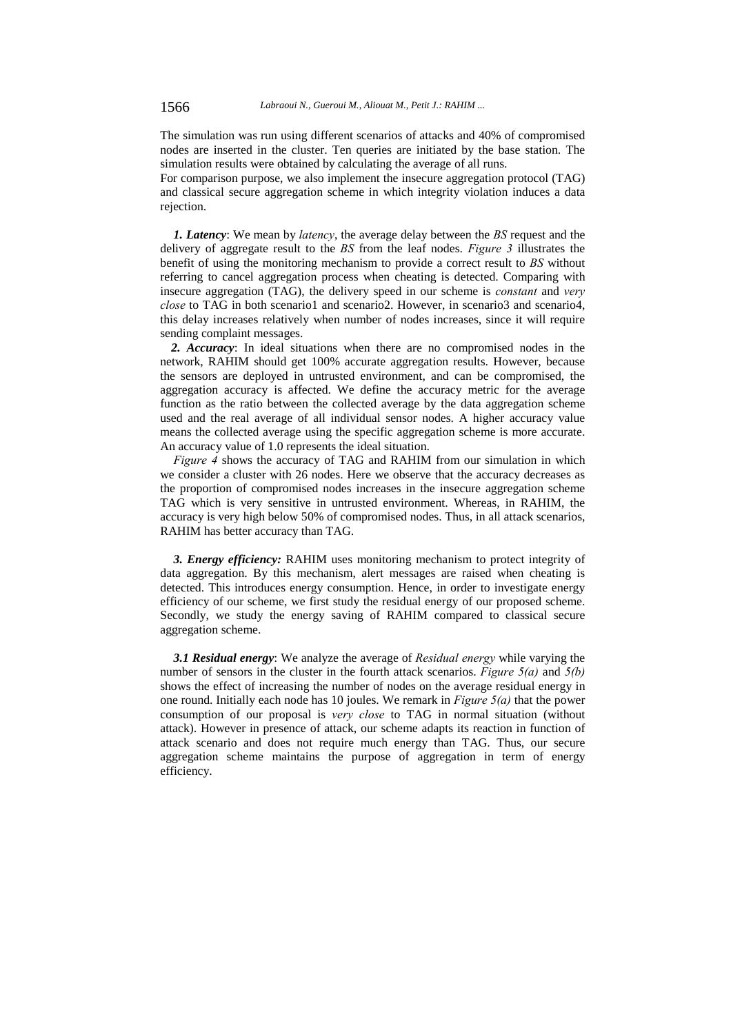The simulation was run using different scenarios of attacks and 40% of compromised nodes are inserted in the cluster. Ten queries are initiated by the base station. The simulation results were obtained by calculating the average of all runs.

For comparison purpose, we also implement the insecure aggregation protocol (TAG) and classical secure aggregation scheme in which integrity violation induces a data rejection.

*1. Latency*: We mean by *latency*, the average delay between the *BS* request and the delivery of aggregate result to the *BS* from the leaf nodes. *Figure 3* illustrates the benefit of using the monitoring mechanism to provide a correct result to *BS* without referring to cancel aggregation process when cheating is detected. Comparing with insecure aggregation (TAG), the delivery speed in our scheme is *constant* and *very close* to TAG in both scenario1 and scenario2. However, in scenario3 and scenario4, this delay increases relatively when number of nodes increases, since it will require sending complaint messages.

*2. Accuracy*: In ideal situations when there are no compromised nodes in the network, RAHIM should get 100% accurate aggregation results. However, because the sensors are deployed in untrusted environment, and can be compromised, the aggregation accuracy is affected. We define the accuracy metric for the average function as the ratio between the collected average by the data aggregation scheme used and the real average of all individual sensor nodes. A higher accuracy value means the collected average using the specific aggregation scheme is more accurate. An accuracy value of 1.0 represents the ideal situation.

*Figure 4* shows the accuracy of TAG and RAHIM from our simulation in which we consider a cluster with 26 nodes. Here we observe that the accuracy decreases as the proportion of compromised nodes increases in the insecure aggregation scheme TAG which is very sensitive in untrusted environment. Whereas, in RAHIM, the accuracy is very high below 50% of compromised nodes. Thus, in all attack scenarios, RAHIM has better accuracy than TAG.

*3. Energy efficiency:* RAHIM uses monitoring mechanism to protect integrity of data aggregation. By this mechanism, alert messages are raised when cheating is detected. This introduces energy consumption. Hence, in order to investigate energy efficiency of our scheme, we first study the residual energy of our proposed scheme. Secondly, we study the energy saving of RAHIM compared to classical secure aggregation scheme.

*3.1 Residual energy*: We analyze the average of *Residual energy* while varying the number of sensors in the cluster in the fourth attack scenarios. *Figure 5(a)* and *5(b)* shows the effect of increasing the number of nodes on the average residual energy in one round. Initially each node has 10 joules. We remark in *Figure 5(a)* that the power consumption of our proposal is *very close* to TAG in normal situation (without attack). However in presence of attack, our scheme adapts its reaction in function of attack scenario and does not require much energy than TAG. Thus, our secure aggregation scheme maintains the purpose of aggregation in term of energy efficiency.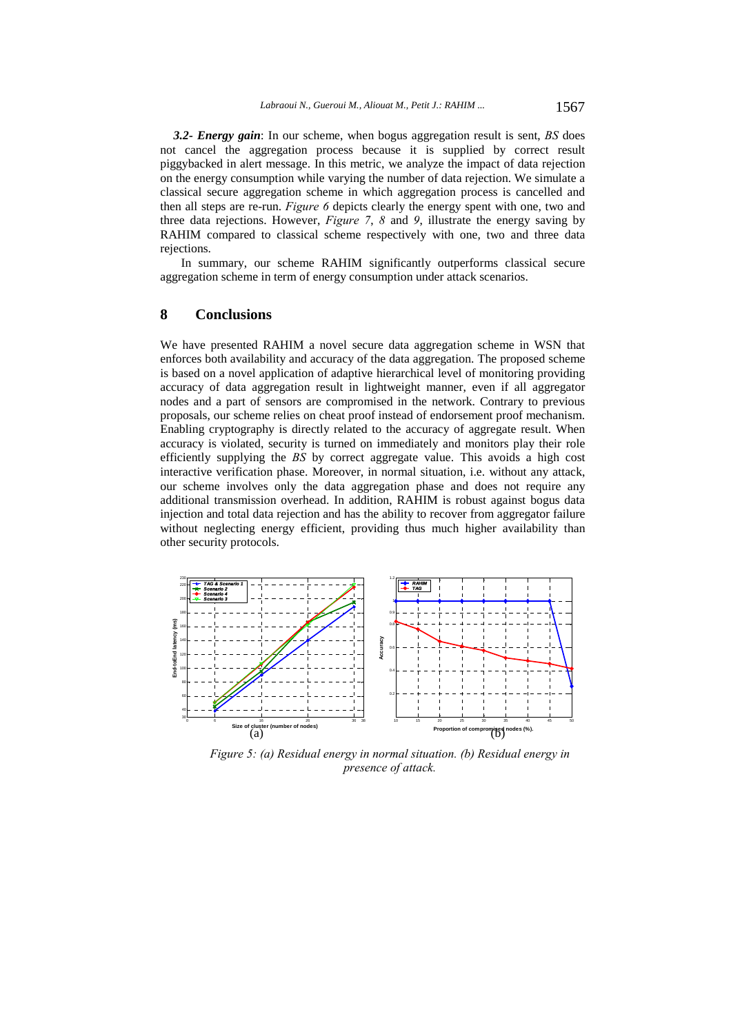*3.2- Energy gain*: In our scheme, when bogus aggregation result is sent, *BS* does not cancel the aggregation process because it is supplied by correct result piggybacked in alert message. In this metric, we analyze the impact of data rejection on the energy consumption while varying the number of data rejection. We simulate a classical secure aggregation scheme in which aggregation process is cancelled and then all steps are re-run. *Figure 6* depicts clearly the energy spent with one, two and three data rejections. However, *Figure 7*, *8* and *9*, illustrate the energy saving by RAHIM compared to classical scheme respectively with one, two and three data rejections.

In summary, our scheme RAHIM significantly outperforms classical secure aggregation scheme in term of energy consumption under attack scenarios.

# **8 Conclusions**

We have presented RAHIM a novel secure data aggregation scheme in WSN that enforces both availability and accuracy of the data aggregation. The proposed scheme is based on a novel application of adaptive hierarchical level of monitoring providing accuracy of data aggregation result in lightweight manner, even if all aggregator nodes and a part of sensors are compromised in the network. Contrary to previous proposals, our scheme relies on cheat proof instead of endorsement proof mechanism. Enabling cryptography is directly related to the accuracy of aggregate result. When accuracy is violated, security is turned on immediately and monitors play their role efficiently supplying the *BS* by correct aggregate value. This avoids a high cost interactive verification phase. Moreover, in normal situation, i.e. without any attack, our scheme involves only the data aggregation phase and does not require any additional transmission overhead. In addition, RAHIM is robust against bogus data injection and total data rejection and has the ability to recover from aggregator failure without neglecting energy efficient, providing thus much higher availability than other security protocols.



*Figure 5: (a) Residual energy in normal situation. (b) Residual energy in presence of attack.*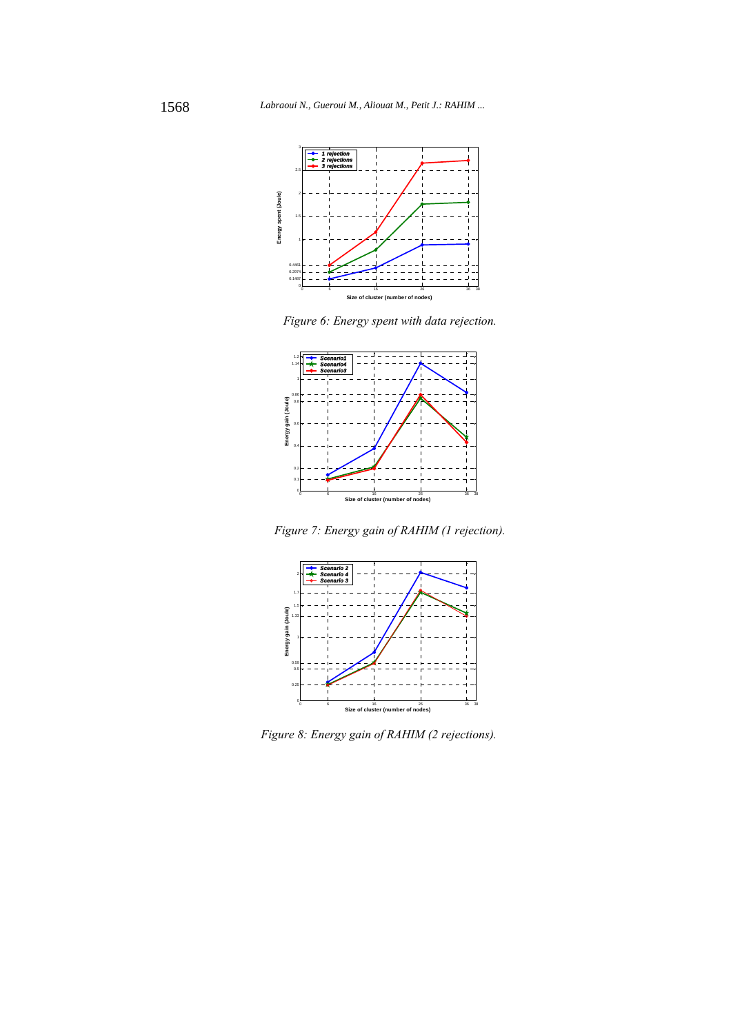

*Figure 6: Energy spent with data rejection.* 



*Figure 7: Energy gain of RAHIM (1 rejection).* 



 *Figure 8: Energy gain of RAHIM (2 rejections).*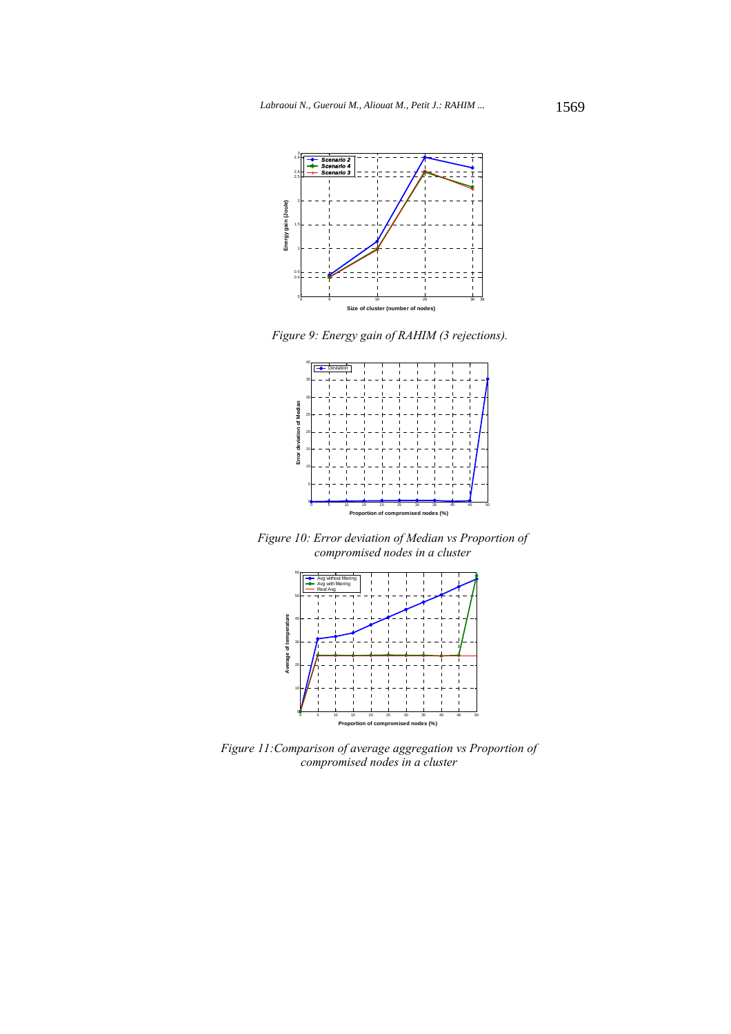

*Figure 9: Energy gain of RAHIM (3 rejections).* 



*Figure 10: Error deviation of Median vs Proportion of compromised nodes in a cluster* 



*Figure 11:Comparison of average aggregation vs Proportion of compromised nodes in a cluster*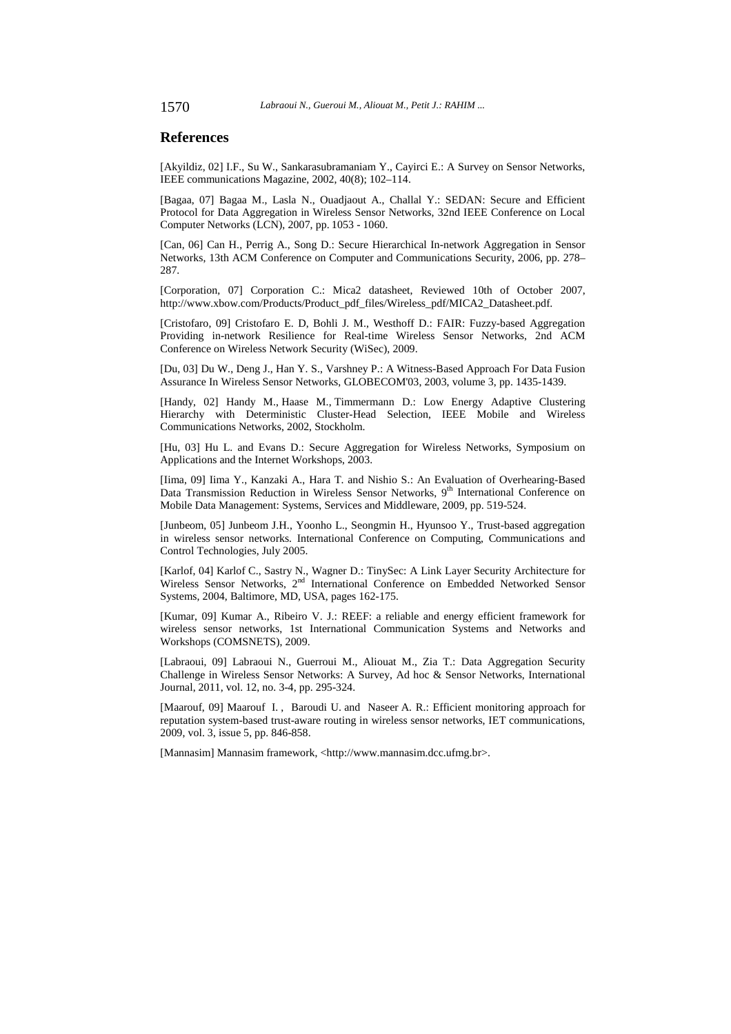### **References**

[Akyildiz, 02] I.F., Su W., Sankarasubramaniam Y., Cayirci E.: A Survey on Sensor Networks, IEEE communications Magazine, 2002, 40(8); 102–114.

[Bagaa, 07] Bagaa M., Lasla N., Ouadjaout A., Challal Y.: SEDAN: Secure and Efficient Protocol for Data Aggregation in Wireless Sensor Networks, 32nd IEEE Conference on Local Computer Networks (LCN), 2007, pp. 1053 - 1060.

[Can, 06] Can H., Perrig A., Song D.: Secure Hierarchical In-network Aggregation in Sensor Networks, 13th ACM Conference on Computer and Communications Security, 2006, pp. 278– 287.

[Corporation, 07] Corporation C.: Mica2 datasheet, Reviewed 10th of October 2007, http://www.xbow.com/Products/Product\_pdf\_files/Wireless\_pdf/MICA2\_Datasheet.pdf.

[Cristofaro, 09] Cristofaro E. D, Bohli J. M., Westhoff D.: FAIR: Fuzzy-based Aggregation Providing in-network Resilience for Real-time Wireless Sensor Networks, 2nd ACM Conference on Wireless Network Security (WiSec), 2009.

[Du, 03] Du W., Deng J., Han Y. S., Varshney P.: A Witness-Based Approach For Data Fusion Assurance In Wireless Sensor Networks, GLOBECOM'03, 2003, volume 3, pp. 1435-1439.

[Handy, 02] Handy M., Haase M., Timmermann D.: Low Energy Adaptive Clustering Hierarchy with Deterministic Cluster-Head Selection, IEEE Mobile and Wireless Communications Networks, 2002, Stockholm.

[Hu, 03] Hu L. and Evans D.: Secure Aggregation for Wireless Networks, Symposium on Applications and the Internet Workshops, 2003.

[Iima, 09] Iima Y., Kanzaki A., Hara T. and Nishio S.: An Evaluation of Overhearing-Based Data Transmission Reduction in Wireless Sensor Networks, 9<sup>th</sup> International Conference on Mobile Data Management: Systems, Services and Middleware, 2009, pp. 519-524.

[Junbeom, 05] Junbeom J.H., Yoonho L., Seongmin H., Hyunsoo Y., Trust-based aggregation in wireless sensor networks. International Conference on Computing, Communications and Control Technologies, July 2005.

[Karlof, 04] Karlof C., Sastry N., Wagner D.: TinySec: A Link Layer Security Architecture for Wireless Sensor Networks, 2<sup>nd</sup> International Conference on Embedded Networked Sensor Systems, 2004, Baltimore, MD, USA, pages 162-175.

[Kumar, 09] Kumar A., Ribeiro V. J.: REEF: a reliable and energy efficient framework for wireless sensor networks, 1st International Communication Systems and Networks and Workshops (COMSNETS), 2009.

[Labraoui, 09] Labraoui N., Guerroui M., Aliouat M., Zia T.: Data Aggregation Security Challenge in Wireless Sensor Networks: A Survey, Ad hoc & Sensor Networks, International Journal, 2011, vol. 12, no. 3-4, pp. 295-324.

[Maarouf, 09] Maarouf I. , Baroudi U. and Naseer A. R.: Efficient monitoring approach for reputation system-based trust-aware routing in wireless sensor networks, IET communications, 2009, vol. 3, issue 5, pp. 846-858.

[Mannasim] Mannasim framework, <http://www.mannasim.dcc.ufmg.br>.